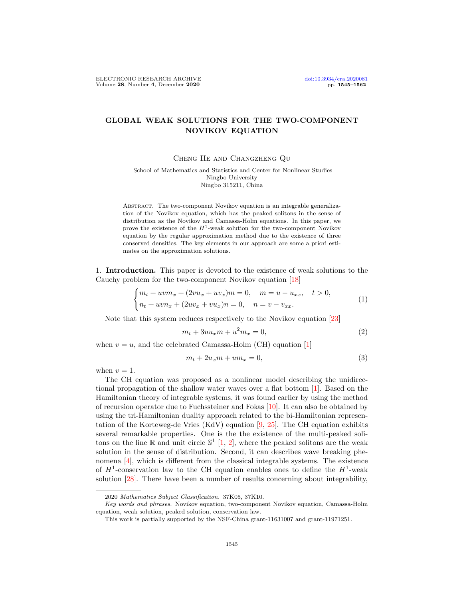## GLOBAL WEAK SOLUTIONS FOR THE TWO-COMPONENT NOVIKOV EQUATION

Cheng He and Changzheng Qu

School of Mathematics and Statistics and Center for Nonlinear Studies Ningbo University Ningbo 315211, China

Abstract. The two-component Novikov equation is an integrable generalization of the Novikov equation, which has the peaked solitons in the sense of distribution as the Novikov and Camassa-Holm equations. In this paper, we prove the existence of the  $H^1$ -weak solution for the two-component Novikov equation by the regular approximation method due to the existence of three conserved densities. The key elements in our approach are some a priori estimates on the approximation solutions.

1. Introduction. This paper is devoted to the existence of weak solutions to the Cauchy problem for the two-component Novikov equation [\[18\]](#page-16-0)

<span id="page-0-1"></span>
$$
\begin{cases} m_t + uvm_x + (2vu_x + uv_x)m = 0, & m = u - u_{xx}, \quad t > 0, \\ n_t + uvn_x + (2uv_x + vu_x)n = 0, & n = v - v_{xx}. \end{cases}
$$
(1)

Note that this system reduces respectively to the Novikov equation [\[23\]](#page-17-0)

<span id="page-0-0"></span>
$$
m_t + 3uu_x m + u^2 m_x = 0,\t\t(2)
$$

when  $v = u$ , and the celebrated Camassa-Holm (CH) equation [\[1\]](#page-16-1)

$$
m_t + 2u_x m + u m_x = 0,\t\t(3)
$$

when  $v = 1$ .

The CH equation was proposed as a nonlinear model describing the unidirectional propagation of the shallow water waves over a flat bottom [\[1\]](#page-16-1). Based on the Hamiltonian theory of integrable systems, it was found earlier by using the method of recursion operator due to Fuchssteiner and Fokas [\[10\]](#page-16-2). It can also be obtained by using the tri-Hamiltonian duality approach related to the bi-Hamiltonian representation of the Korteweg-de Vries (KdV) equation [\[9,](#page-16-3) [25\]](#page-17-1). The CH equation exhibits several remarkable properties. One is the the existence of the multi-peaked solitons on the line  $\mathbb R$  and unit circle  $\mathbb S^1$  [\[1,](#page-16-1) [2\]](#page-16-4), where the peaked solitons are the weak solution in the sense of distribution. Second, it can describes wave breaking phenomena [\[4\]](#page-16-5), which is different from the classical integrable systems. The existence of  $H^1$ -conservation law to the CH equation enables ones to define the  $H^1$ -weak solution [\[28\]](#page-17-2). There have been a number of results concerning about integrability,

<sup>2020</sup> Mathematics Subject Classification. 37K05, 37K10.

Key words and phrases. Novikov equation, two-component Novikov equation, Camassa-Holm equation, weak solution, peaked solution, conservation law.

This work is partially supported by the NSF-China grant-11631007 and grant-11971251.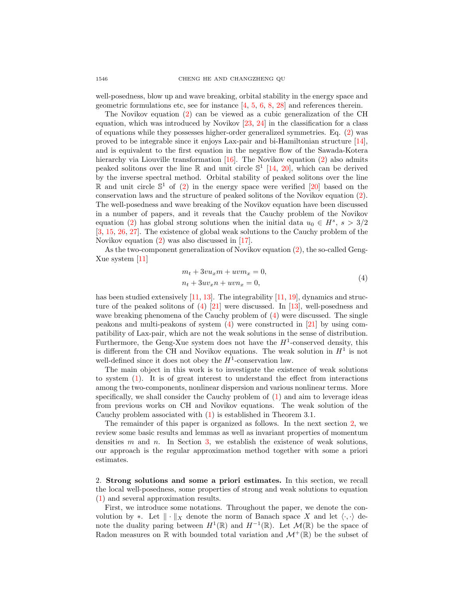well-posedness, blow up and wave breaking, orbital stability in the energy space and geometric formulations etc, see for instance [\[4,](#page-16-5) [5,](#page-16-6) [6,](#page-16-7) [8,](#page-16-8) [28\]](#page-17-2) and references therein.

The Novikov equation [\(2\)](#page-0-0) can be viewed as a cubic generalization of the CH equation, which was introduced by Novikov [\[23,](#page-17-0) [24\]](#page-17-3) in the classification for a class of equations while they possesses higher-order generalized symmetries. Eq. [\(2\)](#page-0-0) was proved to be integrable since it enjoys Lax-pair and bi-Hamiltonian structure [\[14\]](#page-16-9), and is equivalent to the first equation in the negative flow of the Sawada-Kotera hierarchy via Liouville transformation  $[16]$ . The Novikov equation  $(2)$  also admits peaked solitons over the line  $\mathbb R$  and unit circle  $\mathbb S^1$  [\[14,](#page-16-9) [20\]](#page-17-4), which can be derived by the inverse spectral method. Orbital stability of peaked solitons over the line  $\mathbb R$  and unit circle  $\mathbb S^1$  of [\(2\)](#page-0-0) in the energy space were verified [\[20\]](#page-17-4) based on the conservation laws and the structure of peaked solitons of the Novikov equation [\(2\)](#page-0-0). The well-posedness and wave breaking of the Novikov equation have been discussed in a number of papers, and it reveals that the Cauchy problem of the Novikov equation [\(2\)](#page-0-0) has global strong solutions when the initial data  $u_0 \in H^s$ ,  $s > 3/2$ [\[3,](#page-16-11) [15,](#page-16-12) [26,](#page-17-5) [27\]](#page-17-6). The existence of global weak solutions to the Cauchy problem of the Novikov equation [\(2\)](#page-0-0) was also discussed in [\[17\]](#page-16-13).

As the two-component generalization of Novikov equation [\(2\)](#page-0-0), the so-called Geng-Xue system [\[11\]](#page-16-14)

<span id="page-1-0"></span>
$$
mt + 3vuxm + uvmx = 0,
$$
  
\n
$$
nt + 3uvxn + uvnx = 0,
$$
\n(4)

has been studied extensively [\[11,](#page-16-14) [13\]](#page-16-15). The integrability [11, [19\]](#page-16-16), dynamics and structure of the peaked solitons of  $(4)$  [\[21\]](#page-17-7) were discussed. In [\[13\]](#page-16-15), well-posedness and wave breaking phenomena of the Cauchy problem of [\(4\)](#page-1-0) were discussed. The single peakons and multi-peakons of system [\(4\)](#page-1-0) were constructed in [\[21\]](#page-17-7) by using compatibility of Lax-pair, which are not the weak solutions in the sense of distribution. Furthermore, the Geng-Xue system does not have the  $H^1$ -conserved density, this is different from the CH and Novikov equations. The weak solution in  $H^1$  is not well-defined since it does not obey the  $H^1$ -conservation law.

The main object in this work is to investigate the existence of weak solutions to system [\(1\)](#page-0-1). It is of great interest to understand the effect from interactions among the two-components, nonlinear dispersion and various nonlinear terms. More specifically, we shall consider the Cauchy problem of [\(1\)](#page-0-1) and aim to leverage ideas from previous works on CH and Novikov equations. The weak solution of the Cauchy problem associated with [\(1\)](#page-0-1) is established in Theorem 3.1.

The remainder of this paper is organized as follows. In the next section [2,](#page-1-1) we review some basic results and lemmas as well as invariant properties of momentum densities  $m$  and  $n$ . In Section [3,](#page-5-0) we establish the existence of weak solutions, our approach is the regular approximation method together with some a priori estimates.

<span id="page-1-1"></span>2. Strong solutions and some a priori estimates. In this section, we recall the local well-posedness, some properties of strong and weak solutions to equation [\(1\)](#page-0-1) and several approximation results.

First, we introduce some notations. Throughout the paper, we denote the convolution by ∗. Let  $\|\cdot\|_X$  denote the norm of Banach space X and let  $\langle \cdot, \cdot \rangle$  denote the duality paring between  $H^1(\mathbb{R})$  and  $H^{-1}(\mathbb{R})$ . Let  $\mathcal{M}(\mathbb{R})$  be the space of Radon measures on R with bounded total variation and  $\mathcal{M}^+(\mathbb{R})$  be the subset of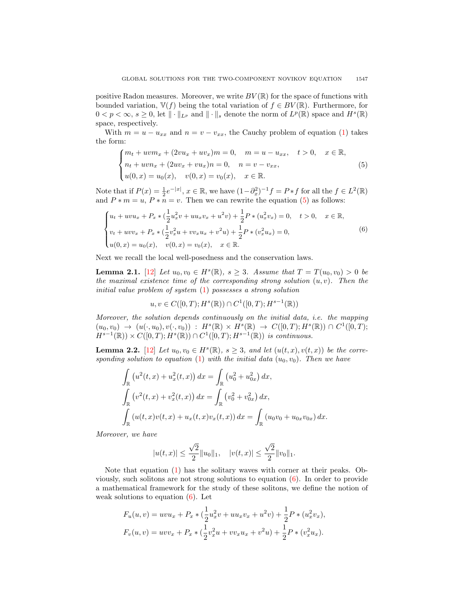positive Radon measures. Moreover, we write  $BV(\mathbb{R})$  for the space of functions with bounded variation,  $\mathbb{V}(f)$  being the total variation of  $f \in BV(\mathbb{R})$ . Furthermore, for  $0 < p < \infty$ ,  $s \geq 0$ , let  $\|\cdot\|_{L^p}$  and  $\|\cdot\|_s$  denote the norm of  $L^p(\mathbb{R})$  space and  $H^s(\mathbb{R})$ space, respectively.

With  $m = u - u_{xx}$  and  $n = v - v_{xx}$ , the Cauchy problem of equation [\(1\)](#page-0-1) takes the form:

<span id="page-2-0"></span>
$$
\begin{cases}\nm_t + uvm_x + (2vu_x + uv_x)m = 0, & m = u - u_{xx}, \quad t > 0, \quad x \in \mathbb{R}, \\
n_t + uvn_x + (2uv_x + vu_x)n = 0, & n = v - v_{xx}, \\
u(0, x) = u_0(x), & v(0, x) = v_0(x), \quad x \in \mathbb{R}.\n\end{cases} \tag{5}
$$

Note that if  $P(x) = \frac{1}{2}e^{-|x|}, x \in \mathbb{R}$ , we have  $(1-\partial_x^2)^{-1}f = P*f$  for all the  $f \in L^2(\mathbb{R})$ and  $P * m = u$ ,  $P * n = v$ . Then we can rewrite the equation [\(5\)](#page-2-0) as follows:

<span id="page-2-1"></span>
$$
\begin{cases}\nu_t + uvu_x + P_x * (\frac{1}{2}u_x^2v + uu_xv_x + u^2v) + \frac{1}{2}P * (u_x^2v_x) = 0, \quad t > 0, \quad x \in \mathbb{R}, \\
v_t + uvv_x + P_x * (\frac{1}{2}v_x^2u + vv_xu_x + v^2u) + \frac{1}{2}P * (v_x^2u_x) = 0, \\
u(0, x) = u_0(x), \quad v(0, x) = v_0(x), \quad x \in \mathbb{R}.\n\end{cases}
$$
\n(6)

Next we recall the local well-posedness and the conservation laws.

**Lemma 2.1.** [\[12\]](#page-16-17) Let  $u_0, v_0 \in H^s(\mathbb{R})$ ,  $s \geq 3$ . Assume that  $T = T(u_0, v_0) > 0$  be the maximal existence time of the corresponding strong solution  $(u, v)$ . Then the initial value problem of system [\(1\)](#page-0-1) possesses a strong solution

$$
u, v \in C([0, T); H^s(\mathbb{R})) \cap C^1([0, T); H^{s-1}(\mathbb{R}))
$$

Moreover, the solution depends continuously on the initial data, i.e. the mapping  $(u_0, v_0) \rightarrow (u(\cdot, u_0), v(\cdot, v_0)) : H^s(\mathbb{R}) \times H^s(\mathbb{R}) \rightarrow C([0, T); H^s(\mathbb{R})) \cap C^1([0, T);$  $H^{s-1}(\mathbb{R}) \times C([0,T); H^s(\mathbb{R})) \cap C^1([0,T); H^{s-1}(\mathbb{R}))$  is continuous.

<span id="page-2-2"></span>**Lemma 2.2.** [\[12\]](#page-16-17) Let  $u_0, v_0 \in H^s(\mathbb{R}), s \geq 3$ , and let  $(u(t, x), v(t, x))$  be the corre-sponding solution to equation [\(1\)](#page-0-1) with the initial data  $(u_0, v_0)$ . Then we have

$$
\int_{\mathbb{R}} \left( u^{2}(t,x) + u_{x}^{2}(t,x) \right) dx = \int_{\mathbb{R}} \left( u_{0}^{2} + u_{0x}^{2} \right) dx,
$$
\n
$$
\int_{\mathbb{R}} \left( v^{2}(t,x) + v_{x}^{2}(t,x) \right) dx = \int_{\mathbb{R}} \left( v_{0}^{2} + v_{0x}^{2} \right) dx,
$$
\n
$$
\int_{\mathbb{R}} \left( u(t,x)v(t,x) + u_{x}(t,x)v_{x}(t,x) \right) dx = \int_{\mathbb{R}} \left( u_{0}v_{0} + u_{0x}v_{0x} \right) dx.
$$

Moreover, we have

$$
|u(t,x)| \le \frac{\sqrt{2}}{2} ||u_0||_1
$$
,  $|v(t,x)| \le \frac{\sqrt{2}}{2} ||v_0||_1$ .

Note that equation [\(1\)](#page-0-1) has the solitary waves with corner at their peaks. Obviously, such solitons are not strong solutions to equation  $(6)$ . In order to provide a mathematical framework for the study of these solitons, we define the notion of weak solutions to equation  $(6)$ . Let

$$
F_u(u, v) = uvu_x + P_x * (\frac{1}{2}u_x^2v + uu_xv_x + u^2v) + \frac{1}{2}P * (u_x^2v_x),
$$
  

$$
F_v(u, v) = uvv_x + P_x * (\frac{1}{2}v_x^2u + vv_xu_x + v^2u) + \frac{1}{2}P * (v_x^2u_x).
$$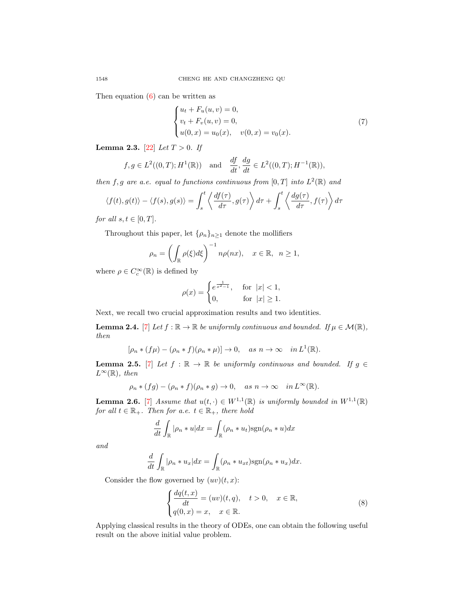Then equation  $(6)$  can be written as

$$
\begin{cases}\nu_t + F_u(u, v) = 0, \\
v_t + F_v(u, v) = 0, \\
u(0, x) = u_0(x), \quad v(0, x) = v_0(x).\n\end{cases}
$$
\n(7)

**Lemma 2.3.** [\[22\]](#page-17-8) Let  $T > 0$ . If

$$
f, g \in L^2((0,T); H^1(\mathbb{R}))
$$
 and  $\frac{df}{dt}, \frac{dg}{dt} \in L^2((0,T); H^{-1}(\mathbb{R})),$ 

then f, g are a.e. equal to functions continuous from  $[0,T]$  into  $L^2(\mathbb{R})$  and

$$
\langle f(t), g(t) \rangle - \langle f(s), g(s) \rangle = \int_s^t \left\langle \frac{df(\tau)}{d\tau}, g(\tau) \right\rangle d\tau + \int_s^t \left\langle \frac{dg(\tau)}{d\tau}, f(\tau) \right\rangle d\tau
$$

for all  $s, t \in [0, T]$ .

Throughout this paper, let  $\{\rho_n\}_{n\geq 1}$  denote the mollifiers

$$
\rho_n = \left(\int_{\mathbb{R}} \rho(\xi) d\xi\right)^{-1} n\rho(nx), \quad x \in \mathbb{R}, \ \ n \ge 1,
$$

where  $\rho \in C_c^{\infty}(\mathbb{R})$  is defined by

$$
\rho(x) = \begin{cases} e^{\frac{1}{x^2 - 1}}, & \text{for } |x| < 1, \\ 0, & \text{for } |x| \ge 1. \end{cases}
$$

Next, we recall two crucial approximation results and two identities.

**Lemma 2.4.** [\[7\]](#page-16-18) Let  $f : \mathbb{R} \to \mathbb{R}$  be uniformly continuous and bounded. If  $\mu \in \mathcal{M}(\mathbb{R})$ , then

$$
[\rho_n * (f\mu) - (\rho_n * f)(\rho_n * \mu)] \to 0, \quad \text{as } n \to \infty \quad \text{in } L^1(\mathbb{R}).
$$

<span id="page-3-1"></span>**Lemma 2.5.** [\[7\]](#page-16-18) Let  $f : \mathbb{R} \to \mathbb{R}$  be uniformly continuous and bounded. If  $g \in$  $L^{\infty}(\mathbb{R})$ , then

$$
\rho_n * (fg) - (\rho_n * f)(\rho_n * g) \to 0, \quad as \; n \to \infty \quad in \, L^{\infty}(\mathbb{R}).
$$

**Lemma 2.6.** [\[7\]](#page-16-18) Assume that  $u(t, \cdot) \in W^{1,1}(\mathbb{R})$  is uniformly bounded in  $W^{1,1}(\mathbb{R})$ for all  $t \in \mathbb{R}_+$ . Then for a.e.  $t \in \mathbb{R}_+$ , there hold

$$
\frac{d}{dt} \int_{\mathbb{R}} |\rho_n * u| dx = \int_{\mathbb{R}} (\rho_n * u_t) \operatorname{sgn}(\rho_n * u) dx
$$

and

$$
\frac{d}{dt} \int_{\mathbb{R}} |\rho_n * u_x| dx = \int_{\mathbb{R}} (\rho_n * u_{xt}) \operatorname{sgn}(\rho_n * u_x) dx.
$$

Consider the flow governed by  $(uv)(t, x)$ :

<span id="page-3-0"></span>
$$
\begin{cases}\n\frac{dq(t,x)}{dt} = (uv)(t,q), & t > 0, \quad x \in \mathbb{R}, \\
q(0,x) = x, & x \in \mathbb{R}.\n\end{cases}
$$
\n(8)

Applying classical results in the theory of ODEs, one can obtain the following useful result on the above initial value problem.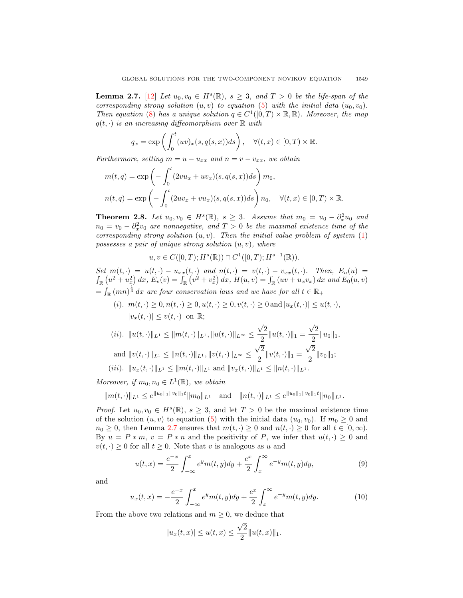<span id="page-4-0"></span>**Lemma 2.7.** [\[12\]](#page-16-17) Let  $u_0, v_0 \in H^s(\mathbb{R})$ ,  $s \geq 3$ , and  $T > 0$  be the life-span of the corresponding strong solution  $(u, v)$  to equation [\(5\)](#page-2-0) with the initial data  $(u_0, v_0)$ . Then equation [\(8\)](#page-3-0) has a unique solution  $q \in C^1([0,T) \times \mathbb{R}, \mathbb{R})$ . Moreover, the map  $q(t, \cdot)$  is an increasing diffeomorphism over  $\mathbb R$  with

$$
q_x = \exp\left(\int_0^t (uv)_x(s, q(s, x))ds\right), \quad \forall (t, x) \in [0, T) \times \mathbb{R}.
$$

Furthermore, setting  $m = u - u_{xx}$  and  $n = v - v_{xx}$ , we obtain

$$
m(t,q) = \exp\left(-\int_0^t (2vu_x + uv_x)(s, q(s,x))ds\right) m_0,
$$
  

$$
n(t,q) = \exp\left(-\int_0^t (2uv_x + vu_x)(s, q(s,x))ds\right) n_0, \quad \forall (t,x) \in [0,T) \times \mathbb{R}.
$$

<span id="page-4-1"></span>**Theorem 2.8.** Let  $u_0, v_0 \in H^s(\mathbb{R})$ ,  $s \geq 3$ . Assume that  $m_0 = u_0 - \partial_x^2 u_0$  and  $n_0 = v_0 - \partial_x^2 v_0$  are nonnegative, and  $T > 0$  be the maximal existence time of the corresponding strong solution  $(u, v)$ . Then the initial value problem of system  $(1)$ possesses a pair of unique strong solution  $(u, v)$ , where

$$
u, v \in C([0, T); H^{s}(\mathbb{R})) \cap C^{1}([0, T); H^{s-1}(\mathbb{R})).
$$

Set  $m(t, \cdot) = u(t, \cdot) - u_{xx}(t, \cdot)$  and  $n(t, \cdot) = v(t, \cdot) - v_{xx}(t, \cdot)$ . Then,  $E_u(u)$  $\int_{\mathbb{R}} (u^2 + u_x^2) dx$ ,  $E_v(v) = \int_{\mathbb{R}} (v^2 + v_x^2) dx$ ,  $H(u, v) = \int_{\mathbb{R}} (uv + u_x v_x) dx$  and  $E_0(u, v)$  $=\int_{\mathbb{R}}\left( mn\right) ^{\frac{1}{3}}dx$  are four conservation laws and we have for all  $t\in\mathbb{R}_{+}$ 

(i). 
$$
m(t, \cdot) \ge 0, n(t, \cdot) \ge 0, u(t, \cdot) \ge 0, v(t, \cdot) \ge 0
$$
 and  $|u_x(t, \cdot)| \le u(t, \cdot),$   
\n $|v_x(t, \cdot)| \le v(t, \cdot)$  on  $\mathbb{R}$ ;

(*ii*). 
$$
||u(t, \cdot)||_{L^1} \le ||m(t, \cdot)||_{L^1}, ||u(t, \cdot)||_{L^\infty} \le \frac{\sqrt{2}}{2}||u(t, \cdot)||_1 = \frac{\sqrt{2}}{2}||u_0||_1,
$$
  
and  $||v(t, \cdot)||_{L^1} \le ||n(t, \cdot)||_{L^1}, ||v(t, \cdot)||_{L^\infty} \le \frac{\sqrt{2}}{2}||v(t, \cdot)||_1 = \frac{\sqrt{2}}{2}||v_0||_1;$   
(*iii*).  $||u_x(t, \cdot)||_{L^1} \le ||m(t, \cdot)||_{L^1}$  and  $||v_x(t, \cdot)||_{L^1} \le ||n(t, \cdot)||_{L^1}.$ 

Moreover, if  $m_0, n_0 \in L^1(\mathbb{R})$ , we obtain

$$
||m(t, \cdot)||_{L^1} \leq e^{||u_0||_1||v_0||_1 t} ||m_0||_{L^1} \quad \text{and} \quad ||n(t, \cdot)||_{L^1} \leq e^{||u_0||_1||v_0||_1 t} ||n_0||_{L^1}.
$$

*Proof.* Let  $u_0, v_0 \in H^s(\mathbb{R}), s \geq 3$ , and let  $T > 0$  be the maximal existence time of the solution  $(u, v)$  to equation [\(5\)](#page-2-0) with the initial data  $(u_0, v_0)$ . If  $m_0 \geq 0$  and  $n_0 \geq 0$ , then Lemma [2.7](#page-4-0) ensures that  $m(t, \cdot) \geq 0$  and  $n(t, \cdot) \geq 0$  for all  $t \in [0, \infty)$ . By  $u = P * m$ ,  $v = P * n$  and the positivity of P, we infer that  $u(t, \cdot) \geq 0$  and  $v(t, \cdot) \geq 0$  for all  $t \geq 0$ . Note that v is analogous as u and

$$
u(t,x) = \frac{e^{-x}}{2} \int_{-\infty}^{x} e^{y} m(t,y) dy + \frac{e^{x}}{2} \int_{x}^{\infty} e^{-y} m(t,y) dy,
$$
 (9)

and

$$
u_x(t,x) = -\frac{e^{-x}}{2} \int_{-\infty}^x e^y m(t,y) dy + \frac{e^x}{2} \int_x^{\infty} e^{-y} m(t,y) dy.
$$
 (10)

From the above two relations and  $m \geq 0$ , we deduce that

$$
|u_x(t,x)| \le u(t,x) \le \frac{\sqrt{2}}{2} ||u(t,x)||_1.
$$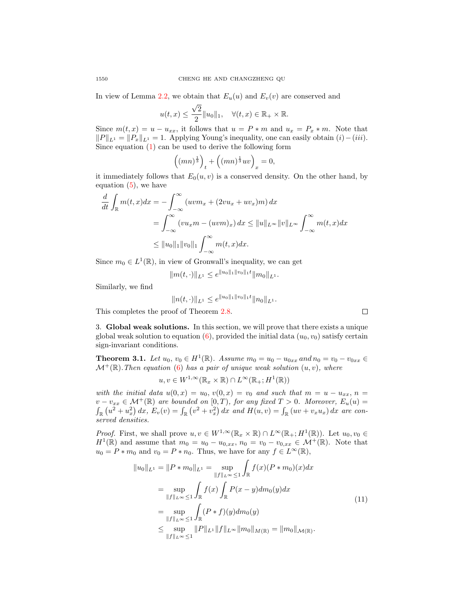In view of Lemma [2.2,](#page-2-2) we obtain that  $E_u(u)$  and  $E_v(v)$  are conserved and

$$
u(t,x) \le \frac{\sqrt{2}}{2} ||u_0||_1, \quad \forall (t,x) \in \mathbb{R}_+ \times \mathbb{R}.
$$

Since  $m(t, x) = u - u_{xx}$ , it follows that  $u = P * m$  and  $u_x = P_x * m$ . Note that  $||P||_{L^1} = ||P_x||_{L^1} = 1$ . Applying Young's inequality, one can easily obtain  $(i) - (iii)$ . Since equation [\(1\)](#page-0-1) can be used to derive the following form

$$
((mn)^{\frac{1}{3}})_t + ((mn)^{\frac{1}{3}}uv)_x = 0,
$$

it immediately follows that  $E_0(u, v)$  is a conserved density. On the other hand, by equation [\(5\)](#page-2-0), we have

$$
\frac{d}{dt} \int_{\mathbb{R}} m(t, x) dx = -\int_{-\infty}^{\infty} (uvw_x + (2vu_x + uv_x)m) dx
$$

$$
= \int_{-\infty}^{\infty} (vu_x m - (uvw)_x) dx \le ||u||_{L^{\infty}} ||v||_{L^{\infty}} \int_{-\infty}^{\infty} m(t, x) dx
$$

$$
\le ||u_0||_1 ||v_0||_1 \int_{-\infty}^{\infty} m(t, x) dx.
$$

Since  $m_0 \in L^1(\mathbb{R})$ , in view of Gronwall's inequality, we can get

$$
||m(t, \cdot)||_{L^1} \leq e^{||u_0||_1 ||v_0||_1 t} ||m_0||_{L^1}.
$$

Similarly, we find

$$
||n(t, \cdot)||_{L^1} \leq e^{||u_0||_1 ||v_0||_1 t} ||n_0||_{L^1}.
$$

This completes the proof of Theorem [2.8.](#page-4-1)

<span id="page-5-0"></span>3. Global weak solutions. In this section, we will prove that there exists a unique global weak solution to equation  $(6)$ , provided the initial data  $(u_0, v_0)$  satisfy certain sign-invariant conditions.

<span id="page-5-2"></span>**Theorem 3.1.** Let  $u_0, v_0 \in H^1(\mathbb{R})$ . Assume  $m_0 = u_0 - u_{0xx}$  and  $n_0 = v_0 - v_{0xx} \in$  $\mathcal{M}^+(\mathbb{R})$ . Then equation [\(6\)](#page-2-1) has a pair of unique weak solution  $(u, v)$ , where

 $u, v \in W^{1,\infty}(\mathbb{R}_x \times \mathbb{R}) \cap L^{\infty}(\mathbb{R}_+; H^1(\mathbb{R}))$ 

with the initial data  $u(0, x) = u_0, v(0, x) = v_0$  and such that  $m = u - u_{xx}, n =$  $v - v_{xx} \in \mathcal{M}^+(\mathbb{R})$  are bounded on  $[0, T)$ , for any fixed  $T > 0$ . Moreover,  $E_u(u) =$  $\int_{\mathbb{R}} (u^2 + u_x^2) dx$ ,  $E_v(v) = \int_{\mathbb{R}} (v^2 + v_x^2) dx$  and  $H(u, v) = \int_{\mathbb{R}} (uv + v_x u_x) dx$  are conserved densities.

*Proof.* First, we shall prove  $u, v \in W^{1,\infty}(\mathbb{R}_x \times \mathbb{R}) \cap L^{\infty}(\mathbb{R}_+; H^1(\mathbb{R}))$ . Let  $u_0, v_0 \in$  $H^1(\mathbb{R})$  and assume that  $m_0 = u_0 - u_{0,xx}, n_0 = v_0 - v_{0,xx} \in \mathcal{M}^+(\mathbb{R})$ . Note that  $u_0 = P * m_0$  and  $v_0 = P * n_0$ . Thus, we have for any  $f \in L^{\infty}(\mathbb{R})$ ,

<span id="page-5-1"></span>
$$
||u_0||_{L^1} = ||P * m_0||_{L^1} = \sup_{||f||_{L^{\infty}} \le 1} \int_{\mathbb{R}} f(x)(P * m_0)(x) dx
$$
  
\n
$$
= \sup_{||f||_{L^{\infty}} \le 1} \int_{\mathbb{R}} f(x) \int_{\mathbb{R}} P(x - y) dm_0(y) dx
$$
  
\n
$$
= \sup_{||f||_{L^{\infty}} \le 1} \int_{\mathbb{R}} (P * f)(y) dm_0(y)
$$
  
\n
$$
\le \sup_{||f||_{L^{\infty}} \le 1} ||P||_{L^1} ||f||_{L^{\infty}} ||m_0||_{M(\mathbb{R})} = ||m_0||_{M(\mathbb{R})}.
$$
\n(11)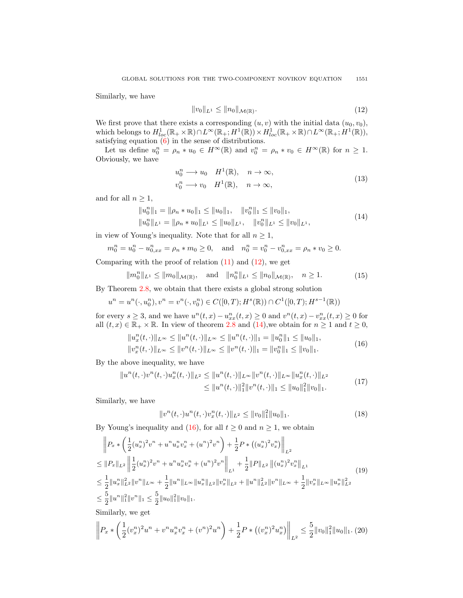Similarly, we have

<span id="page-6-0"></span>
$$
||v_0||_{L^1} \le ||n_0||_{\mathcal{M}(\mathbb{R})}.\tag{12}
$$

We first prove that there exists a corresponding  $(u, v)$  with the initial data  $(u_0, v_0)$ , which belongs to  $H^1_{loc}(\mathbb{R}_+ \times \mathbb{R}) \cap L^{\infty}(\mathbb{R}_+; H^1(\mathbb{R})) \times H^1_{loc}(\mathbb{R}_+ \times \mathbb{R}) \cap L^{\infty}(\mathbb{R}_+; H^1(\mathbb{R})),$ satisfying equation [\(6\)](#page-2-1) in the sense of distributions.

Let us define  $u_0^n = \rho_n * u_0 \in H^\infty(\mathbb{R})$  and  $v_0^n = \rho_n * v_0 \in H^\infty(\mathbb{R})$  for  $n \geq 1$ . Obviously, we have

$$
u_0^n \longrightarrow u_0 \quad H^1(\mathbb{R}), \quad n \to \infty,
$$
  

$$
v_0^n \longrightarrow v_0 \quad H^1(\mathbb{R}), \quad n \to \infty,
$$
 (13)

and for all  $n \geq 1$ ,

<span id="page-6-1"></span>
$$
||u_0^n||_1 = ||\rho_n * u_0||_1 \le ||u_0||_1, \quad ||v_0^n||_1 \le ||v_0||_1, ||u_0^n||_{L^1} = ||\rho_n * u_0||_{L^1} \le ||u_0||_{L^1}, \quad ||v_0^n||_{L^1} \le ||v_0||_{L^1},
$$
\n(14)

in view of Young's inequality. Note that for all  $n \geq 1$ ,

$$
m_0^n = u_0^n - u_{0,xx}^n = \rho_n * m_0 \ge 0
$$
, and  $n_0^n = v_0^n - v_{0,xx}^n = \rho_n * v_0 \ge 0$ .

Comparing with the proof of relation  $(11)$  and  $(12)$ , we get

<span id="page-6-5"></span>
$$
||m_0^n||_{L^1} \le ||m_0||_{\mathcal{M}(\mathbb{R})}, \quad \text{and} \quad ||n_0^n||_{L^1} \le ||n_0||_{\mathcal{M}(\mathbb{R})}, \quad n \ge 1. \tag{15}
$$

By Theorem [2.8,](#page-4-1) we obtain that there exists a global strong solution

$$
u^n = u^n(\cdot, u_0^n), v^n = v^n(\cdot, v_0^n) \in C([0, T); H^s(\mathbb{R})) \cap C^1([0, T); H^{s-1}(\mathbb{R}))
$$

for every  $s \geq 3$ , and we have  $u^n(t, x) - u^n_{xx}(t, x) \geq 0$  and  $v^n(t, x) - v^n_{xx}(t, x) \geq 0$  for all  $(t, x) \in \mathbb{R}_+ \times \mathbb{R}$ . In view of theorem [2.8](#page-4-1) and  $(14)$ , we obtain for  $n \ge 1$  and  $t \ge 0$ ,

<span id="page-6-2"></span>
$$
||u_x^n(t, \cdot)||_{L^{\infty}} \le ||u^n(t, \cdot)||_{L^{\infty}} \le ||u^n(t, \cdot)||_1 = ||u_0^n||_1 \le ||u_0||_1,
$$
  

$$
||v_x^n(t, \cdot)||_{L^{\infty}} \le ||v^n(t, \cdot)||_{L^{\infty}} \le ||v^n(t, \cdot)||_1 = ||v_0^n||_1 \le ||v_0||_1.
$$
 (16)

By the above inequality, we have

<span id="page-6-3"></span>
$$
||u^n(t,\cdot)v^n(t,\cdot)u_x^n(t,\cdot)||_{L^2} \le ||u^n(t,\cdot)||_{L^\infty} ||v^n(t,\cdot)||_{L^\infty} ||u_x^n(t,\cdot)||_{L^2}
$$
  
\n
$$
\le ||u^n(t,\cdot)||_1^2 ||v^n(t,\cdot)||_1 \le ||u_0||_1^2 ||v_0||_1.
$$
\n(17)

Similarly, we have

$$
||v^n(t,\cdot)u^n(t,\cdot)v_x^n(t,\cdot)||_{L^2} \le ||v_0||_1^2 ||u_0||_1.
$$
\n(18)

By Young's inequality and [\(16\)](#page-6-2), for all  $t \geq 0$  and  $n \geq 1$ , we obtain

$$
\|P_x * \left(\frac{1}{2}(u_x^n)^2 v^n + u^n u_x^n v_x^n + (u^n)^2 v^n\right) + \frac{1}{2} P * \left((u_x^n)^2 v_x^n\right)\Big\|_{L^2}
$$
\n
$$
\leq \|P_x\|_{L^2} \left\|\frac{1}{2}(u_x^n)^2 v^n + u^n u_x^n v_x^n + (u^n)^2 v^n\right\|_{L^1} + \frac{1}{2} \|P\|_{L^2} \left\|(u_x^n)^2 v_x^n\right\|_{L^1}
$$
\n
$$
\leq \frac{1}{2} \|u_x^n\|_{L^2}^2 \|v^n\|_{L^\infty} + \frac{1}{2} \|u^n\|_{L^\infty} \|u_x^n\|_{L^2} \|v_x^n\|_{L^2} + \|u^n\|_{L^2}^2 \|v^n\|_{L^\infty} + \frac{1}{2} \|v_x^n\|_{L^\infty} \|u_x^n\|_{L^2}^2
$$
\n
$$
\leq \frac{5}{2} \|u^n\|_1^2 \|v^n\|_1 \leq \frac{5}{2} \|u_0\|_1^2 \|v_0\|_1.
$$
\nSimilarly, we get\n
$$
\|P_x + \frac{1}{2} \|u^n\|_2^2 \|v^n\|_2.
$$

<span id="page-6-4"></span>
$$
\left\| P_x * \left( \frac{1}{2} (v_x^n)^2 u^n + v^n u_x^n v_x^n + (v^n)^2 u^n \right) + \frac{1}{2} P * \left( (v_x^n)^2 u_x^n \right) \right\|_{L^2} \le \frac{5}{2} \|v_0\|_1^2 \|u_0\|_1. (20)
$$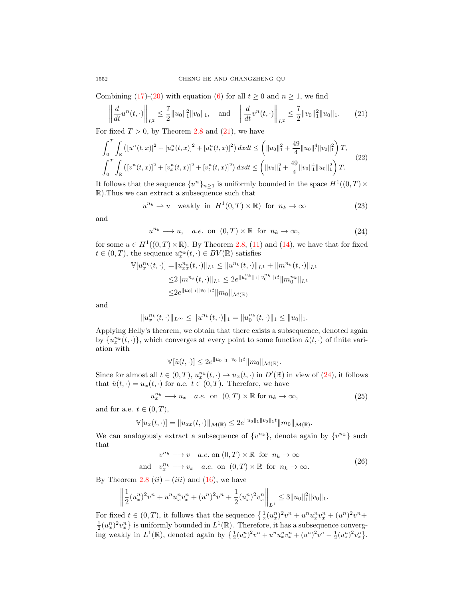Combining [\(17\)](#page-6-3)-[\(20\)](#page-6-4) with equation [\(6\)](#page-2-1) for all  $t \ge 0$  and  $n \ge 1$ , we find

<span id="page-7-0"></span>
$$
\left\| \frac{d}{dt} u^n(t, \cdot) \right\|_{L^2} \le \frac{7}{2} \|u_0\|_1^2 \|v_0\|_1, \text{ and } \left\| \frac{d}{dt} v^n(t, \cdot) \right\|_{L^2} \le \frac{7}{2} \|v_0\|_1^2 \|u_0\|_1. \tag{21}
$$

For fixed  $T > 0$ , by Theorem [2.8](#page-4-1) and [\(21\)](#page-7-0), we have

$$
\int_0^T \int_{\mathbb{R}} \left( [u^n(t,x)]^2 + [u^n_x(t,x)]^2 + [u^n_t(t,x)]^2 \right) dx dt \le \left( \|u_0\|_1^2 + \frac{49}{4} \|u_0\|_1^4 \|v_0\|_1^2 \right) T,
$$
\n
$$
\int_0^T \int_{\mathbb{R}} \left( [v^n(t,x)]^2 + [v^n_x(t,x)]^2 + [v^n_t(t,x)]^2 \right) dx dt \le \left( \|v_0\|_1^2 + \frac{49}{4} \|v_0\|_1^4 \|u_0\|_1^2 \right) T.
$$
\n(22)

It follows that the sequence  $\{u^n\}_{n\geq 1}$  is uniformly bounded in the space  $H^1((0,T)\times$  $\mathbb R).$  Thus we can extract a subsequence such that

$$
u^{n_k} \rightharpoonup u \quad \text{weakly in } H^1(0,T) \times \mathbb{R}) \text{ for } n_k \to \infty \tag{23}
$$

and

<span id="page-7-1"></span> $u^{n_k} \longrightarrow u$ , a.e. on  $(0, T) \times \mathbb{R}$  for  $n_k \to \infty$ , (24)

for some  $u \in H^1((0,T) \times \mathbb{R})$ . By Theorem [2.8,](#page-4-1) [\(11\)](#page-5-1) and [\(14\)](#page-6-1), we have that for fixed  $t \in (0, T)$ , the sequence  $u_x^{n_k}(t, \cdot) \in BV(\mathbb{R})$  satisfies

$$
\mathbb{V}[u_x^{n_k}(t,\cdot)] = \|u_{xx}^{n_k}(t,\cdot)\|_{L^1} \le \|u^{n_k}(t,\cdot)\|_{L^1} + \|m^{n_k}(t,\cdot)\|_{L^1}
$$
  
\n
$$
\le 2\|m^{n_k}(t,\cdot)\|_{L^1} \le 2e^{\|u_0^{n_k}\|_1\|v_0^{n_k}\|_1 t} \|m_0^{n_k}\|_{L^1}
$$
  
\n
$$
\le 2e^{\|u_0\|_1\|v_0\|_1 t} \|m_0\|_{\mathcal{M}(\mathbb{R})}
$$

and

$$
||u_x^{n_k}(t,\cdot)||_{L^{\infty}} \le ||u^{n_k}(t,\cdot)||_1 = ||u_0^{n_k}(t,\cdot)||_1 \le ||u_0||_1.
$$

Applying Helly's theorem, we obtain that there exists a subsequence, denoted again by  $\{u_x^{n_k}(t, \cdot)\}\$ , which converges at every point to some function  $\hat{u}(t, \cdot)$  of finite variation with

$$
\mathbb{V}[\hat{u}(t,\cdot)] \le 2e^{\|u_0\|_1\|v_0\|_1 t} \|m_0\|_{\mathcal{M}(\mathbb{R})}
$$

Since for almost all  $t \in (0,T)$ ,  $u_x^{n_k}(t, \cdot) \to u_x(t, \cdot)$  in  $D'(\mathbb{R})$  in view of  $(24)$ , it follows that  $\hat{u}(t, \cdot) = u_x(t, \cdot)$  for a.e.  $t \in (0, T)$ . Therefore, we have

<span id="page-7-2"></span>
$$
u_x^{n_k} \longrightarrow u_x \quad a.e. \text{ on } (0,T) \times \mathbb{R} \text{ for } n_k \to \infty,
$$
 (25)

.

and for a.e.  $t \in (0, T)$ ,

$$
\mathbb{V}[u_x(t,\cdot)] = \|u_{xx}(t,\cdot)\|_{\mathcal{M}(\mathbb{R})} \leq 2e^{\|u_0\|_1\|v_0\|_1 t} \|m_0\|_{\mathcal{M}(\mathbb{R})}.
$$

We can analogously extract a subsequence of  $\{v^{n_k}\}\$ , denote again by  $\{v^{n_k}\}\$  such that

<span id="page-7-3"></span>
$$
v^{n_k} \longrightarrow v \quad a.e. \text{ on } (0, T) \times \mathbb{R} \text{ for } n_k \to \infty
$$
  
and 
$$
v_x^{n_k} \longrightarrow v_x \quad a.e. \text{ on } (0, T) \times \mathbb{R} \text{ for } n_k \to \infty.
$$
 (26)

By Theorem [2.8](#page-4-1)  $(ii) - (iii)$  and  $(16)$ , we have

$$
\left\|\frac{1}{2}(u_x^n)^2v^n + u^nu_x^nv_x^n + (u^n)^2v^n + \frac{1}{2}(u_x^n)^2v_x^n\right\|_{L^1} \leq 3\|u_0\|_1^2\|v_0\|_1.
$$

For fixed  $t \in (0,T)$ , it follows that the sequence  $\left\{\frac{1}{2}(u_x^n)^2v^n + u^n u_x^n v_x^n + (u^n)^2v^n + \right\}$  $\frac{1}{2}(u_x^n)^2 v_x^n$  is uniformly bounded in  $L^1(\mathbb{R})$ . Therefore, it has a subsequence converging weakly in  $L^1(\mathbb{R})$ , denoted again by  $\{\frac{1}{2}(u_x^n)^2v^n + u^nu_x^nv_x^n + (u^n)^2v^n + \frac{1}{2}(u_x^n)^2v_x^n\}.$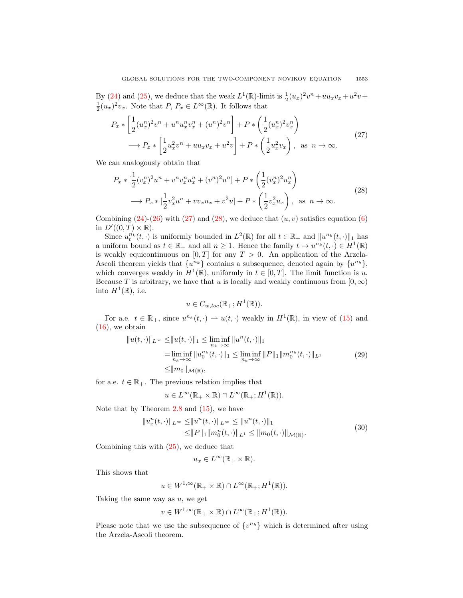By [\(24\)](#page-7-1) and [\(25\)](#page-7-2), we deduce that the weak  $L^1(\mathbb{R})$ -limit is  $\frac{1}{2}(u_x)^2v^n + uu_xv_x + u^2v +$  $\frac{1}{2}(u_x)^2 v_x$ . Note that  $P, P_x \in L^{\infty}(\mathbb{R})$ . It follows that

<span id="page-8-0"></span>
$$
P_x * \left[ \frac{1}{2} (u_x^n)^2 v^n + u^n u_x^n v_x^n + (u^n)^2 v^n \right] + P * \left( \frac{1}{2} (u_x^n)^2 v_x^n \right)
$$
  

$$
\longrightarrow P_x * \left[ \frac{1}{2} u_x^2 v^n + u u_x v_x + u^2 v \right] + P * \left( \frac{1}{2} u_x^2 v_x \right), \text{ as } n \to \infty.
$$
 (27)

We can analogously obtain that

<span id="page-8-1"></span>
$$
P_x * \left[\frac{1}{2}(v_x^n)^2 u^n + v^n v_x^n u_x^n + (v^n)^2 u^n\right] + P * \left(\frac{1}{2}(v_x^n)^2 u_x^n\right)
$$
  

$$
\longrightarrow P_x * \left[\frac{1}{2}v_x^2 u^n + v v_x u_x + v^2 u\right] + P * \left(\frac{1}{2}v_x^2 u_x\right), \text{ as } n \to \infty.
$$
  
(28)

Combining  $(24)-(26)$  $(24)-(26)$  $(24)-(26)$  with  $(27)$  and  $(28)$ , we deduce that  $(u, v)$  satisfies equation  $(6)$ in  $D'((0,T)\times \mathbb{R})$ .

Since  $u_t^{n_k}(t, \cdot)$  is uniformly bounded in  $L^2(\mathbb{R})$  for all  $t \in \mathbb{R}_+$  and  $||u^{n_k}(t, \cdot)||_1$  has a uniform bound as  $t \in \mathbb{R}_+$  and all  $n \geq 1$ . Hence the family  $t \mapsto u^{n_k}(t, \cdot) \in H^1(\mathbb{R})$ is weakly equicontinuous on  $[0, T]$  for any  $T > 0$ . An application of the Arzela-Ascoli theorem yields that  $\{u^{n_k}\}\$ contains a subsequence, denoted again by  $\{u^{n_k}\}\$ , which converges weakly in  $H^1(\mathbb{R})$ , uniformly in  $t \in [0,T]$ . The limit function is u. Because T is arbitrary, we have that u is locally and weakly continuous from  $[0, \infty)$ into  $H^1(\mathbb{R})$ , i.e.

$$
u \in C_{w, loc}(\mathbb{R}_+; H^1(\mathbb{R})).
$$

For a.e.  $t \in \mathbb{R}_+$ , since  $u^{n_k}(t, \cdot) \to u(t, \cdot)$  weakly in  $H^1(\mathbb{R})$ , in view of [\(15\)](#page-6-5) and  $(16)$ , we obtain

<span id="page-8-2"></span>
$$
||u(t, \cdot)||_{L^{\infty}} \le ||u(t, \cdot)||_{1} \le \liminf_{n_{k} \to \infty} ||u^{n}(t, \cdot)||_{1}
$$
  
= 
$$
\liminf_{n_{k} \to \infty} ||u_{0}^{n_{k}}(t, \cdot)||_{1} \le \liminf_{n_{k} \to \infty} ||P||_{1} ||m_{0}^{n_{k}}(t, \cdot)||_{L^{1}}
$$
  

$$
\le ||m_{0}||_{\mathcal{M}(\mathbb{R})},
$$
 (29)

for a.e.  $t \in \mathbb{R}_+$ . The previous relation implies that

$$
u \in L^{\infty}(\mathbb{R}_+ \times \mathbb{R}) \cap L^{\infty}(\mathbb{R}_+; H^1(\mathbb{R})).
$$

Note that by Theorem  $2.8$  and  $(15)$ , we have

<span id="page-8-3"></span>
$$
||u_x^n(t,\cdot)||_{L^\infty} \le ||u^n(t,\cdot)||_{L^\infty} \le ||u^n(t,\cdot)||_1
$$
  
\n
$$
\le ||P||_1 ||m_0^n(t,\cdot)||_{L^1} \le ||m_0(t,\cdot)||_{\mathcal{M}(\mathbb{R})}.
$$
\n(30)

Combining this with [\(25\)](#page-7-2), we deduce that

$$
u_x \in L^{\infty}(\mathbb{R}_+ \times \mathbb{R}).
$$

This shows that

$$
u \in W^{1,\infty}(\mathbb{R}_+ \times \mathbb{R}) \cap L^{\infty}(\mathbb{R}_+; H^1(\mathbb{R})).
$$

Taking the same way as  $u$ , we get

$$
v \in W^{1,\infty}(\mathbb{R}_+ \times \mathbb{R}) \cap L^{\infty}(\mathbb{R}_+; H^1(\mathbb{R})).
$$

Please note that we use the subsequence of  $\{v^{n_k}\}\$  which is determined after using the Arzela-Ascoli theorem.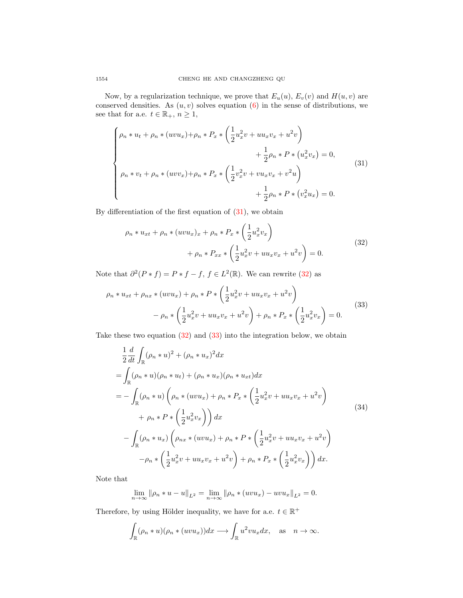Now, by a regularization technique, we prove that  $E_u(u)$ ,  $E_v(v)$  and  $H(u, v)$  are conserved densities. As  $(u, v)$  solves equation  $(6)$  in the sense of distributions, we see that for a.e.  $t \in \mathbb{R}_+, n \geq 1$ ,

<span id="page-9-0"></span>
$$
\begin{cases}\n\rho_n * u_t + \rho_n * (uvu_x) + \rho_n * P_x * \left(\frac{1}{2}u_x^2 v + uu_x v_x + u^2 v\right) \\
+ \frac{1}{2}\rho_n * P * (u_x^2 v_x) = 0, \\
\rho_n * v_t + \rho_n * (uvv_x) + \rho_n * P_x * \left(\frac{1}{2}v_x^2 v + vu_x v_x + v^2 u\right) \\
+ \frac{1}{2}\rho_n * P * (v_x^2 u_x) = 0.\n\end{cases}
$$
\n(31)

By differentiation of the first equation of  $(31)$ , we obtain

<span id="page-9-1"></span>
$$
\rho_n * u_{xt} + \rho_n * (uvu_x)_x + \rho_n * P_x * \left(\frac{1}{2}u_x^2 v_x\right) + \rho_n * P_{xx} * \left(\frac{1}{2}u_x^2 v + uu_x v_x + u^2 v\right) = 0.
$$
\n(32)

Note that  $\partial^2(P * f) = P * f - f, f \in L^2(\mathbb{R})$ . We can rewrite [\(32\)](#page-9-1) as

<span id="page-9-2"></span>
$$
\rho_n * u_{xt} + \rho_{nx} * (uvu_x) + \rho_n * P * \left(\frac{1}{2}u_x^2 v + uu_x v_x + u^2 v\right) - \rho_n * \left(\frac{1}{2}u_x^2 v + uu_x v_x + u^2 v\right) + \rho_n * P_x * \left(\frac{1}{2}u_x^2 v_x\right) = 0.
$$
\n(33)

Take these two equation  $(32)$  and  $(33)$  into the integration below, we obtain

$$
\frac{1}{2} \frac{d}{dt} \int_{\mathbb{R}} (\rho_n * u)^2 + (\rho_n * u_x)^2 dx
$$
\n
$$
= \int_{\mathbb{R}} (\rho_n * u)(\rho_n * u_t) + (\rho_n * u_x)(\rho_n * u_{xt}) dx
$$
\n
$$
= - \int_{\mathbb{R}} (\rho_n * u) \left( \rho_n * (uvu_x) + \rho_n * P_x * \left( \frac{1}{2} u_x^2 v + u u_x v_x + u^2 v \right) \right. \\
\left. + \rho_n * P * \left( \frac{1}{2} u_x^2 v_x \right) \right) dx
$$
\n
$$
- \int_{\mathbb{R}} (\rho_n * u_x) \left( \rho_{nx} * (uvu_x) + \rho_n * P * \left( \frac{1}{2} u_x^2 v + u u_x v_x + u^2 v \right) \right. \\
\left. - \rho_n * \left( \frac{1}{2} u_x^2 v + u u_x v_x + u^2 v \right) + \rho_n * P_x * \left( \frac{1}{2} u_x^2 v_x \right) \right) dx.
$$
\n(34)

Note that

$$
\lim_{n \to \infty} \|\rho_n * u - u\|_{L^2} = \lim_{n \to \infty} \|\rho_n * (uvu_x) - uvu_x\|_{L^2} = 0.
$$

Therefore, by using Hölder inequality, we have for a.e.  $t \in \mathbb{R}^+$ 

$$
\int_{\mathbb{R}} (\rho_n * u)(\rho_n * (uvu_x))dx \longrightarrow \int_{\mathbb{R}} u^2 vu_x dx, \text{ as } n \to \infty.
$$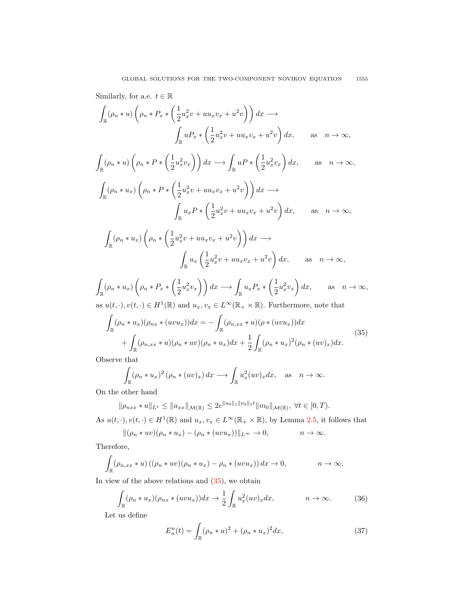Similarly, for a.e. 
$$
t \in \mathbb{R}
$$
  
\n
$$
\int_{\mathbb{R}} (\rho_n * u) \left( \rho_n * P_x * \left( \frac{1}{2} u_x^2 v + u u_x v_x + u^2 v \right) \right) dx \longrightarrow
$$
\n
$$
\int_{\mathbb{R}} u P_x * \left( \frac{1}{2} u_x^2 v + u u_x v_x + u^2 v \right) dx, \qquad \text{as} \quad n \to \infty,
$$
\n
$$
\int_{\mathbb{R}} (\rho_n * u) \left( \rho_n * P * \left( \frac{1}{2} u_x^2 v_x \right) \right) dx \longrightarrow \int_{\mathbb{R}} u P * \left( \frac{1}{2} u_x^2 v_x \right) dx, \qquad \text{as} \quad n \to \infty,
$$
\n
$$
\int_{\mathbb{R}} (\rho_n * u_x) \left( \rho_n * P * \left( \frac{1}{2} u_x^2 v + u u_x v_x + u^2 v \right) \right) dx \longrightarrow
$$
\n
$$
\int_{\mathbb{R}} u_x P * \left( \frac{1}{2} u_x^2 v + u u_x v_x + u^2 v \right) dx, \qquad \text{as} \quad n \to \infty,
$$
\n
$$
\int_{\mathbb{R}} (\rho_n * u_x) \left( \rho_n * \left( \frac{1}{2} u_x^2 v + u u_x v_x + u^2 v \right) \right) dx \longrightarrow
$$
\n
$$
\int_{\mathbb{R}} u_x \left( \frac{1}{2} u_x^2 v + u u_x v_x + u^2 v \right) dx, \qquad \text{as} \quad n \to \infty,
$$

$$
\int_{\mathbb{R}} (\rho_n * u_x) \left( \rho_n * P_x * \left( \frac{1}{2} u_x^2 v_x \right) \right) dx \longrightarrow \int_{\mathbb{R}} u_x P_x * \left( \frac{1}{2} u_x^2 v_x \right) dx, \quad \text{as} \quad n \to \infty,
$$
  
as  $u(t, \cdot), v(t, \cdot) \in H^1(\mathbb{R})$  and  $u_x, v_x \in L^{\infty}(\mathbb{R}_+ \times \mathbb{R})$ . Furthermore, note that

<span id="page-10-0"></span>
$$
\int_{\mathbb{R}} (\rho_n * u_x)(\rho_{nx} * (uvu_x))dx = -\int_{\mathbb{R}} (\rho_{n,xx} * u)(\rho * (uvu_x))dx \n+ \int_{\mathbb{R}} (\rho_{n,xx} * u)(\rho_n * uv)(\rho_n * u_x)dx + \frac{1}{2} \int_{\mathbb{R}} (\rho_n * u_x)^2 (\rho_n * (uv)_x)dx.
$$
\n(35)

Observe that

$$
\int_{\mathbb{R}} (\rho_n * u_x)^2 (\rho_n * (uv)_x) dx \longrightarrow \int_{\mathbb{R}} u_x^2 (uv)_x dx, \text{ as } n \to \infty.
$$

On the other hand

$$
\|\rho_{nxx} * u\|_{L^1} \le \|u_{xx}\|_{\mathcal{M}(\mathbb{R})} \le 2e^{\|u_0\|_1\|v_0\|_1 t} \|m_0\|_{\mathcal{M}(\mathbb{R})}, \ \forall t \in [0, T).
$$

As  $u(t, \cdot), v(t, \cdot) \in H^1(\mathbb{R})$  and  $u_x, v_x \in L^{\infty}(\mathbb{R}_+ \times \mathbb{R})$ , by Lemma [2.5,](#page-3-1) it follows that  $\|(\rho_n * uv)(\rho_n * u_x) - (\rho_n * (uvu_x))\|_{L^{\infty}} \to 0,$   $n \to \infty.$ 

Therefore,

$$
\int_{\mathbb{R}} (\rho_{n,xx} * u) ((\rho_n * uv)(\rho_n * u_x) - \rho_n * (uvu_x)) dx \to 0, \qquad n \to \infty.
$$

In view of the above relations and [\(35\)](#page-10-0), we obtain

$$
\int_{\mathbb{R}} (\rho_n * u_x)(\rho_{nx} * (uvu_x))dx \to \frac{1}{2} \int_{\mathbb{R}} u_x^2(uv)_x dx, \qquad n \to \infty.
$$
 (36)

Let us define

$$
E_n^u(t) = \int_{\mathbb{R}} (\rho_n * u)^2 + (\rho_n * u_x)^2 dx,
$$
\n(37)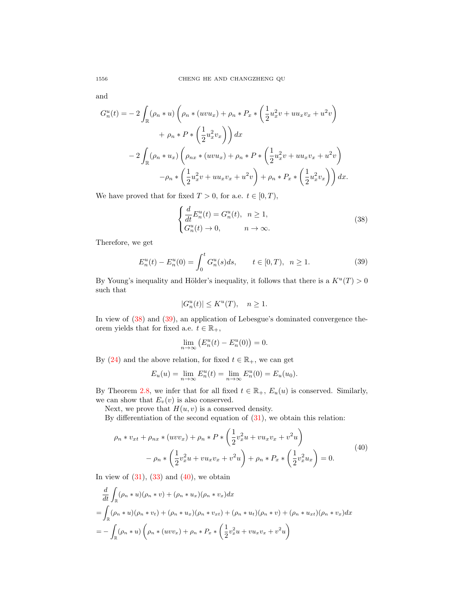and

$$
G_n^u(t) = -2 \int_{\mathbb{R}} (\rho_n * u) \left( \rho_n * (uvu_x) + \rho_n * P_x * \left( \frac{1}{2} u_x^2 v + u u_x v_x + u^2 v \right) \right. \\ \left. + \rho_n * P * \left( \frac{1}{2} u_x^2 v_x \right) \right) dx
$$
  

$$
-2 \int_{\mathbb{R}} (\rho_n * u_x) \left( \rho_{nx} * (uvu_x) + \rho_n * P * \left( \frac{1}{2} u_x^2 v + u u_x v_x + u^2 v \right) \right. \\ \left. - \rho_n * \left( \frac{1}{2} u_x^2 v + u u_x v_x + u^2 v \right) + \rho_n * P_x * \left( \frac{1}{2} u_x^2 v_x \right) \right) dx.
$$

We have proved that for fixed  $T > 0$ , for a.e.  $t \in [0, T)$ ,

<span id="page-11-0"></span>
$$
\begin{cases}\n\frac{d}{dt}E_n^u(t) = G_n^u(t), & n \ge 1, \\
G_n^u(t) \to 0, & n \to \infty.\n\end{cases}
$$
\n(38)

Therefore, we get

<span id="page-11-1"></span>
$$
E_n^u(t) - E_n^u(0) = \int_0^t G_n^u(s)ds, \qquad t \in [0, T), \ \ n \ge 1. \tag{39}
$$

By Young's inequality and Hölder's inequality, it follows that there is a  $K^u(T) > 0$ such that

$$
|G_n^u(t)| \le K^u(T), \quad n \ge 1.
$$

In view of  $(38)$  and  $(39)$ , an application of Lebesgue's dominated convergence theorem yields that for fixed a.e.  $t \in \mathbb{R}_+,$ 

$$
\lim_{n \to \infty} \left( E_n^u(t) - E_n^u(0) \right) = 0.
$$

By [\(24\)](#page-7-1) and the above relation, for fixed  $t \in \mathbb{R}_+$ , we can get

$$
E_u(u) = \lim_{n \to \infty} E_n^u(t) = \lim_{n \to \infty} E_n^u(0) = E_u(u_0).
$$

By Theorem [2.8,](#page-4-1) we infer that for all fixed  $t \in \mathbb{R}_+$ ,  $E_u(u)$  is conserved. Similarly, we can show that  $E_v(v)$  is also conserved.

Next, we prove that  $H(u, v)$  is a conserved density.

By differentiation of the second equation of  $(31)$ , we obtain this relation:

<span id="page-11-2"></span>
$$
\rho_n * v_{xt} + \rho_{nx} * (u v v_x) + \rho_n * P * \left(\frac{1}{2}v_x^2 u + v u_x v_x + v^2 u\right) - \rho_n * \left(\frac{1}{2}v_x^2 u + v u_x v_x + v^2 u\right) + \rho_n * P_x * \left(\frac{1}{2}v_x^2 u_x\right) = 0.
$$
\n(40)

In view of  $(31)$ ,  $(33)$  and  $(40)$ , we obtain

$$
\frac{d}{dt} \int_{\mathbb{R}} (\rho_n * u)(\rho_n * v) + (\rho_n * u_x)(\rho_n * v_x) dx
$$
\n
$$
= \int_{\mathbb{R}} (\rho_n * u)(\rho_n * v_t) + (\rho_n * u_x)(\rho_n * v_x) + (\rho_n * u_t)(\rho_n * v) + (\rho_n * u_x)(\rho_n * v_x) dx
$$
\n
$$
= - \int_{\mathbb{R}} (\rho_n * u) \left( \rho_n * (uvv_x) + \rho_n * P_x * \left( \frac{1}{2} v_x^2 u + v u_x v_x + v^2 u \right) \right)
$$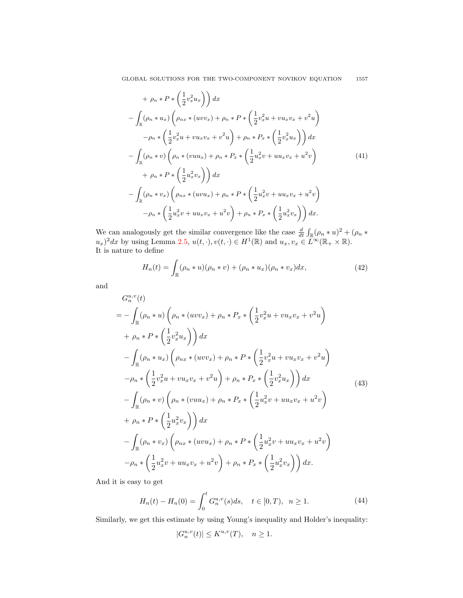$$
+ \rho_n * P * \left(\frac{1}{2}v_x^2 u_x\right) dx
$$
  

$$
- \int_{\mathbb{R}} (\rho_n * u_x) \left(\rho_{nx} * (uvv_x) + \rho_n * P * \left(\frac{1}{2}v_x^2 u + v u_x v_x + v^2 u\right) -\rho_n * \left(\frac{1}{2}v_x^2 u + v u_x v_x + v^2 u\right) + \rho_n * P_x * \left(\frac{1}{2}v_x^2 u_x\right)\right) dx
$$
  

$$
- \int_{\mathbb{R}} (\rho_n * v) \left(\rho_n * (v u u_x) + \rho_n * P_x * \left(\frac{1}{2}u_x^2 v + u u_x v_x + u^2 v\right) + \rho_n * P * \left(\frac{1}{2}u_x^2 v_x\right)\right) dx
$$
  

$$
- \int_{\mathbb{R}} (\rho_n * v_x) \left(\rho_{nx} * (uvu_x) + \rho_n * P * \left(\frac{1}{2}u_x^2 v + u u_x v_x + u^2 v\right) -\rho_n * \left(\frac{1}{2}u_x^2 v + u u_x v_x + u^2 v\right) + \rho_n * P_x * \left(\frac{1}{2}u_x^2 v_x\right)\right) dx.
$$
  
(41)

We can analogously get the similar convergence like the case  $\frac{d}{dt} \int_{\mathbb{R}} (\rho_n * u)^2 + (\rho_n * u)^2$  $(u_x)^2 dx$  by using Lemma [2.5,](#page-3-1)  $u(t, \cdot), v(t, \cdot) \in H^1(\mathbb{R})$  and  $u_x, v_x \in L^{\infty}(\mathbb{R}_+ \times \mathbb{R})$ . It is nature to define

$$
H_n(t) = \int_{\mathbb{R}} (\rho_n * u)(\rho_n * v) + (\rho_n * u_x)(\rho_n * v_x) dx,
$$
 (42)

and

$$
G_n^{u,v}(t)
$$
  
=  $-\int_{\mathbb{R}} (\rho_n * u) \left( \rho_n * (uvv_x) + \rho_n * P_x * \left( \frac{1}{2} v_x^2 u + v u_x v_x + v^2 u \right) \right)$   
+  $\rho_n * P * \left( \frac{1}{2} v_x^2 u_x \right) dx$   
 $- \int_{\mathbb{R}} (\rho_n * u_x) \left( \rho_{nx} * (uvv_x) + \rho_n * P * \left( \frac{1}{2} v_x^2 u + v u_x v_x + v^2 u \right) \right)$   
 $- \rho_n * \left( \frac{1}{2} v_x^2 u + v u_x v_x + v^2 u \right) + \rho_n * P_x * \left( \frac{1}{2} v_x^2 u_x \right) dx$   
 $- \int_{\mathbb{R}} (\rho_n * v) \left( \rho_n * (v u u_x) + \rho_n * P_x * \left( \frac{1}{2} u_x^2 v + u u_x v_x + u^2 v \right) \right)$   
 $+ \rho_n * P * \left( \frac{1}{2} u_x^2 v_x \right) dx$   
 $- \int_{\mathbb{R}} (\rho_n * v_x) \left( \rho_{nx} * (u v u_x) + \rho_n * P * \left( \frac{1}{2} u_x^2 v + u u_x v_x + u^2 v \right) \right)$   
 $- \rho_n * \left( \frac{1}{2} u_x^2 v + u u_x v_x + u^2 v \right) + \rho_n * P_x * \left( \frac{1}{2} u_x^2 v_x \right) dx.$  (43)

And it is easy to get

$$
H_n(t) - H_n(0) = \int_0^t G_n^{u,v}(s)ds, \quad t \in [0, T), \ n \ge 1.
$$
 (44)

Similarly, we get this estimate by using Young's inequality and Holder's inequality:

$$
|G_n^{u,v}(t)|\le K^{u,v}(T),\quad n\ge 1.
$$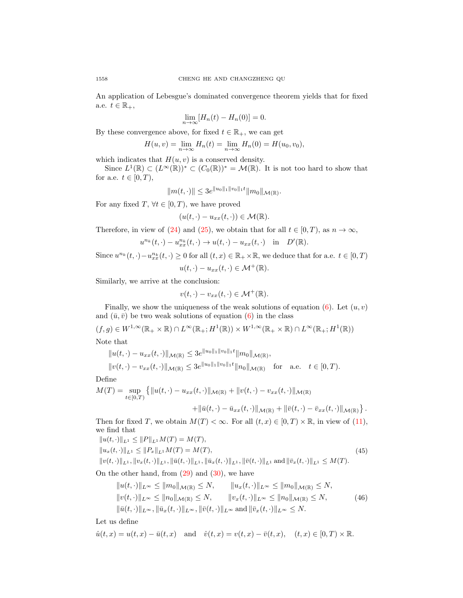An application of Lebesgue's dominated convergence theorem yields that for fixed a.e.  $t \in \mathbb{R}_+,$ 

$$
\lim_{n \to \infty} [H_n(t) - H_n(0)] = 0.
$$

By these convergence above, for fixed  $t \in \mathbb{R}_+$ , we can get

$$
H(u, v) = \lim_{n \to \infty} H_n(t) = \lim_{n \to \infty} H_n(0) = H(u_0, v_0),
$$

which indicates that  $H(u, v)$  is a conserved density.

Since  $L^1(\mathbb{R}) \subset (L^{\infty}(\mathbb{R}))^* \subset (C_0(\mathbb{R}))^* = \mathcal{M}(\mathbb{R})$ . It is not too hard to show that for a.e.  $t \in [0, T)$ ,

$$
||m(t, \cdot)|| \leq 3e^{||u_0||_1 ||v_0||_1 t} ||m_0||_{\mathcal{M}(\mathbb{R})}.
$$

For any fixed  $T$ ,  $\forall t \in [0, T)$ , we have proved

$$
(u(t,\cdot)-u_{xx}(t,\cdot))\in \mathcal{M}(\mathbb{R}).
$$

Therefore, in view of [\(24\)](#page-7-1) and [\(25\)](#page-7-2), we obtain that for all  $t \in [0, T)$ , as  $n \to \infty$ ,

$$
u^{n_k}(t,\cdot)-u^{n_k}_{xx}(t,\cdot)\to u(t,\cdot)-u_{xx}(t,\cdot)\quad\text{in}\quad D'(\mathbb{R}).
$$

Since  $u^{n_k}(t, \cdot) - u^{n_k}_{xx}(t, \cdot) \ge 0$  for all  $(t, x) \in \mathbb{R}_+ \times \mathbb{R}$ , we deduce that for a.e.  $t \in [0, T)$ 

$$
u(t,\cdot)-u_{xx}(t,\cdot)\in\mathcal{M}^+(\mathbb{R}).
$$

Similarly, we arrive at the conclusion:

$$
v(t,\cdot)-v_{xx}(t,\cdot)\in\mathcal{M}^+(\mathbb{R}).
$$

Finally, we show the uniqueness of the weak solutions of equation [\(6\)](#page-2-1). Let  $(u, v)$ and  $(\bar{u}, \bar{v})$  be two weak solutions of equation [\(6\)](#page-2-1) in the class

$$
(f,g)\in W^{1,\infty}(\mathbb{R}_+\times\mathbb{R})\cap L^\infty(\mathbb{R}_+;H^1(\mathbb{R}))\times W^{1,\infty}(\mathbb{R}_+\times\mathbb{R})\cap L^\infty(\mathbb{R}_+;H^1(\mathbb{R}))
$$

Note that

$$
||u(t,\cdot)-u_{xx}(t,\cdot)||_{\mathcal{M}(\mathbb{R})}\leq 3e^{||u_0||_1||v_0||_1t}||m_0||_{\mathcal{M}(\mathbb{R})},
$$
  

$$
||v(t,\cdot)-v_{xx}(t,\cdot)||_{\mathcal{M}(\mathbb{R})}\leq 3e^{||u_0||_1||v_0||_1t}||n_0||_{\mathcal{M}(\mathbb{R})}
$$
 for a.e.  $t \in [0,T)$ .

Define

$$
M(T) = \sup_{t \in [0,T)} \{ ||u(t, \cdot) - u_{xx}(t, \cdot)||_{\mathcal{M}(\mathbb{R})} + ||v(t, \cdot) - v_{xx}(t, \cdot)||_{\mathcal{M}(\mathbb{R})} \}
$$

$$
+\|\bar{u}(t,\cdot)-\bar{u}_{xx}(t,\cdot)\|_{\mathcal{M}(\mathbb{R})}+\|\bar{v}(t,\cdot)-\bar{v}_{xx}(t,\cdot)\|_{\mathcal{M}(\mathbb{R})}\}.
$$

Then for fixed T, we obtain  $M(T) < \infty$ . For all  $(t, x) \in [0, T) \times \mathbb{R}$ , in view of [\(11\)](#page-5-1), we find that  $||u(t, \cdot)||_{L_1} < ||P||_{L_1}M(T) = M(T),$ 

$$
||u_{\infty}(t,\cdot)||_{L^{1}} \leq ||P_{x}||_{L^{1}}M(T) = M(T),
$$
\n
$$
||u_{x}(t,\cdot)||_{L^{1}} \leq ||P_{x}||_{L^{1}}M(T) = M(T),
$$
\n(45)

 $||v(t, \cdot)||_{L^1}, ||v_x(t, \cdot)||_{L^1}, ||\bar{u}(t, \cdot)||_{L^1}, ||\bar{u}_x(t, \cdot)||_{L^1}, ||\bar{v}(t, \cdot)||_{L^1}$  and  $||\bar{v}_x(t, \cdot)||_{L^1} \leq M(T)$ .

On the other hand, from  $(29)$  and  $(30)$ , we have

<span id="page-13-0"></span>
$$
||u(t, \cdot)||_{L^{\infty}} \le ||m_0||_{\mathcal{M}(\mathbb{R})} \le N, \qquad ||u_x(t, \cdot)||_{L^{\infty}} \le ||m_0||_{\mathcal{M}(\mathbb{R})} \le N, ||v(t, \cdot)||_{L^{\infty}} \le ||n_0||_{\mathcal{M}(\mathbb{R})} \le N, \qquad ||v_x(t, \cdot)||_{L^{\infty}} \le ||n_0||_{\mathcal{M}(\mathbb{R})} \le N, ||\bar{u}(t, \cdot)||_{L^{\infty}}, ||\bar{u}_x(t, \cdot)||_{L^{\infty}}, ||\bar{v}(t, \cdot)||_{L^{\infty}} \text{ and } ||\bar{v}_x(t, \cdot)||_{L^{\infty}} \le N.
$$
\n(46)

Let us define

$$
\hat{u}(t,x)=u(t,x)-\bar{u}(t,x) \quad \text{and} \quad \hat{v}(t,x)=v(t,x)-\bar{v}(t,x), \quad (t,x)\in [0,T)\times \mathbb{R}.
$$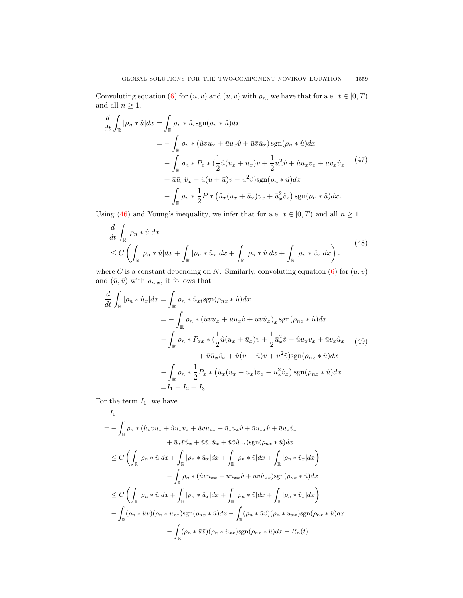Convoluting equation [\(6\)](#page-2-1) for  $(u, v)$  and  $(\bar{u}, \bar{v})$  with  $\rho_n$ , we have that for a.e.  $t \in [0, T)$ and all  $n \geq 1$ ,

$$
\frac{d}{dt} \int_{\mathbb{R}} |\rho_n * \hat{u}| dx = \int_{\mathbb{R}} \rho_n * \hat{u}_t \text{sgn}(\rho_n * \hat{u}) dx
$$
  
\n
$$
= -\int_{\mathbb{R}} \rho_n * (\hat{u}v u_x + \bar{u}u_x \hat{v} + \bar{u}\bar{v}\hat{u}_x) \text{sgn}(\rho_n * \hat{u}) dx
$$
  
\n
$$
- \int_{\mathbb{R}} \rho_n * P_x * (\frac{1}{2}\hat{u}(u_x + \bar{u}_x)v + \frac{1}{2}\bar{u}_x^2 \hat{v} + \hat{u}u_x v_x + \bar{u}v_x \hat{u}_x
$$
  
\n
$$
+ \bar{u}\bar{u}_x \hat{v}_x + \hat{u}(u + \bar{u})v + u^2 \hat{v}) \text{sgn}(\rho_n * \hat{u}) dx
$$
  
\n
$$
- \int_{\mathbb{R}} \rho_n * \frac{1}{2} P * (\hat{u}_x(u_x + \bar{u}_x)v_x + \bar{u}_x^2 \hat{v}_x) \text{sgn}(\rho_n * \hat{u}) dx.
$$
\n(47)

Using [\(46\)](#page-13-0) and Young's inequality, we infer that for a.e.  $t\in[0,T)$  and all  $n\geq 1$ 

<span id="page-14-0"></span>
$$
\frac{d}{dt} \int_{\mathbb{R}} |\rho_n * \hat{u}| dx
$$
\n
$$
\leq C \left( \int_{\mathbb{R}} |\rho_n * \hat{u}| dx + \int_{\mathbb{R}} |\rho_n * \hat{u}_x| dx + \int_{\mathbb{R}} |\rho_n * \hat{v}| dx + \int_{\mathbb{R}} |\rho_n * \hat{v}_x| dx \right).
$$
\n(48)

where C is a constant depending on N. Similarly, convoluting equation  $(6)$  for  $(u, v)$ and  $(\bar{u}, \bar{v})$  with  $\rho_{n,x}$ , it follows that

$$
\frac{d}{dt} \int_{\mathbb{R}} |\rho_n * \hat{u}_x| dx = \int_{\mathbb{R}} \rho_n * \hat{u}_{xt} \operatorname{sgn}(\rho_{nx} * \hat{u}) dx
$$
  
\n
$$
= - \int_{\mathbb{R}} \rho_n * (\hat{u}vu_x + \bar{u}u_x \hat{v} + \bar{u}\bar{v}\hat{u}_x)_x \operatorname{sgn}(\rho_{nx} * \hat{u}) dx
$$
  
\n
$$
- \int_{\mathbb{R}} \rho_n * P_{xx} * (\frac{1}{2}\hat{u}(u_x + \bar{u}_x)v + \frac{1}{2}\bar{u}_x^2 \hat{v} + \hat{u}u_x v_x + \bar{u}v_x \hat{u}_x)
$$
  
\n
$$
+ \bar{u}\bar{u}_x \hat{v}_x + \hat{u}(u + \bar{u})v + u^2 \hat{v}) \operatorname{sgn}(\rho_{nx} * \hat{u}) dx
$$
  
\n
$$
- \int_{\mathbb{R}} \rho_n * \frac{1}{2} P_x * (\hat{u}_x(u_x + \bar{u}_x)v_x + \bar{u}_x^2 \hat{v}_x) \operatorname{sgn}(\rho_{nx} * \hat{u}) dx
$$
  
\n
$$
= I_1 + I_2 + I_3.
$$

For the term  $I_1$ , we have

$$
I_{1}
$$
\n
$$
= -\int_{\mathbb{R}} \rho_{n} * (\hat{u}_{x} v u_{x} + \hat{u} u_{x} v_{x} + \hat{u} v u_{xx} + \bar{u}_{x} u_{x} \hat{v} + \bar{u} u_{x} \hat{v} + \bar{u} u_{x} \hat{v}_{x} \n+ \bar{u}_{x} \bar{v} \hat{u}_{x} + \bar{u} \bar{v}_{x} \hat{u}_{x} + \bar{u} \bar{v} \hat{u}_{xx}) \text{sgn}(\rho_{nx} * \hat{u}) dx \n\leq C \left( \int_{\mathbb{R}} |\rho_{n} * \hat{u}| dx + \int_{\mathbb{R}} |\rho_{n} * \hat{u}_{x}| dx + \int_{\mathbb{R}} |\rho_{n} * \hat{v}| dx + \int_{\mathbb{R}} |\rho_{n} * \hat{v}_{x}| dx \right) \n- \int_{\mathbb{R}} \rho_{n} * (\hat{u} v u_{xx} + \bar{u} u_{xx} \hat{v} + \bar{u} \bar{v} \hat{u}_{xx}) \text{sgn}(\rho_{nx} * \hat{u}) dx \n\leq C \left( \int_{\mathbb{R}} |\rho_{n} * \hat{u}| dx + \int_{\mathbb{R}} |\rho_{n} * \hat{u}_{x}| dx + \int_{\mathbb{R}} |\rho_{n} * \hat{v}| dx + \int_{\mathbb{R}} |\rho_{n} * \hat{v}_{x}| dx \right) \n- \int_{\mathbb{R}} (\rho_{n} * \hat{u} v)(\rho_{n} * u_{xx}) \text{sgn}(\rho_{nx} * \hat{u}) dx - \int_{\mathbb{R}} (\rho_{n} * \bar{u} \hat{v})(\rho_{n} * u_{xx}) \text{sgn}(\rho_{nx} * \hat{u}) dx \n- \int_{\mathbb{R}} (\rho_{n} * \bar{u} \bar{v})(\rho_{n} * \hat{u}_{xx}) \text{sgn}(\rho_{n} * \hat{u}) dx + R_{n}(t)
$$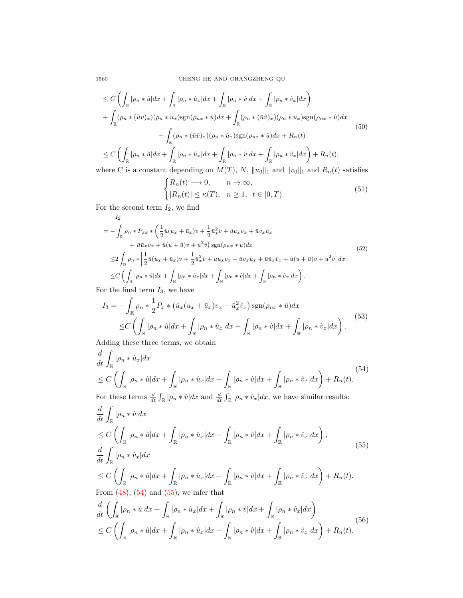1560 CHENG HE AND CHANGZHENG QU

$$
\leq C \left( \int_{\mathbb{R}} |\rho_n * \hat{u}| dx + \int_{\mathbb{R}} |\rho_n * \hat{u}_x| dx + \int_{\mathbb{R}} |\rho_n * \hat{v}| dx + \int_{\mathbb{R}} |\rho_n * \hat{v}_x| dx \right)
$$
  
+ 
$$
\int_{\mathbb{R}} (\rho_n * (\hat{u}v)_x)(\rho_n * u_x) \text{sgn}(\rho_{nx} * \hat{u}) dx + \int_{\mathbb{R}} (\rho_n * (\bar{u}\hat{v})_x)(\rho_n * u_x) \text{sgn}(\rho_{nx} * \hat{u}) dx
$$
  
+ 
$$
\int_{\mathbb{R}} (\rho_n * (\bar{u}\bar{v})_x)(\rho_n * \hat{u}_x) \text{sgn}(\rho_{nx} * \hat{u}) dx + R_n(t)
$$
  

$$
\leq C \left( \int_{\mathbb{R}} |\rho_n * \hat{u}| dx + \int_{\mathbb{R}} |\rho_n * \hat{u}_x| dx + \int_{\mathbb{R}} |\rho_n * \hat{v}| dx + \int_{\mathbb{R}} |\rho_n * \hat{v}_x| dx \right) + R_n(t),
$$
  
where C is a constant denonning on  $M(T)$ , N, the end ||u, and R. (t) satisfies

where C is a constant depending on  $M(T)$ , N,  $||u_0||_1$  and  $||v_0||_1$  and  $R_n(t)$  satisfies

$$
\begin{cases} R_n(t) \longrightarrow 0, & n \to \infty, \\ |R_n(t)| \le \kappa(T), & n \ge 1, \ t \in [0, T). \end{cases}
$$
 (51)

For the second term  $I_2$ , we find

$$
I_{2} = -\int_{\mathbb{R}} \rho_{n} * P_{xx} * \left( \frac{1}{2} \hat{u}(u_{x} + \bar{u}_{x})v + \frac{1}{2} \bar{u}_{x}^{2} \hat{v} + \hat{u} u_{x} v_{x} + \bar{u} v_{x} \hat{u}_{x} + \bar{u} \bar{u}_{x} \hat{v}_{x} + \bar{u} \bar{u}_{x} \hat{v}_{x} + \hat{u} (u + \bar{u}) v + u^{2} \hat{v} \right) \text{sgn}(\rho_{nx} * \hat{u}) dx
$$
\n
$$
\leq 2 \int_{\mathbb{R}} \rho_{n} * \left| \frac{1}{2} \hat{u}(u_{x} + \bar{u}_{x})v + \frac{1}{2} \bar{u}_{x}^{2} \hat{v} + \hat{u} u_{x} v_{x} + \bar{u} v_{x} \hat{u}_{x} + \bar{u} \bar{u}_{x} \hat{v}_{x} + \hat{u} (u + \bar{u}) v + u^{2} \hat{v} \right| dx
$$
\n
$$
\leq C \left( \int_{\mathbb{R}} |\rho_{n} * \hat{u}| dx + \int_{\mathbb{R}} |\rho_{n} * \hat{u}_{x}| dx + \int_{\mathbb{R}} |\rho_{n} * \hat{v}| dx + \int_{\mathbb{R}} |\rho_{n} * \hat{v}_{x}| dx \right).
$$
\n(52)

For the final term  $I_3$ , we have

$$
I_3 = -\int_{\mathbb{R}} \rho_n * \frac{1}{2} P_x * (\hat{u}_x(u_x + \bar{u}_x)v_x + \bar{u}_x^2 \hat{v}_x) \operatorname{sgn}(\rho_{nx} * \hat{u}) dx
$$
  
\n
$$
\leq C \left( \int_{\mathbb{R}} |\rho_n * \hat{u}| dx + \int_{\mathbb{R}} |\rho_n * \hat{u}_x| dx + \int_{\mathbb{R}} |\rho_n * \hat{v}| dx + \int_{\mathbb{R}} |\rho_n * \hat{v}_x| dx \right).
$$
\n(53)

Adding these three terms, we obtain

<span id="page-15-0"></span>
$$
\frac{d}{dt} \int_{\mathbb{R}} |\rho_n * \hat{u}_x| dx
$$
\n
$$
\leq C \left( \int_{\mathbb{R}} |\rho_n * \hat{u}| dx + \int_{\mathbb{R}} |\rho_n * \hat{u}_x| dx + \int_{\mathbb{R}} |\rho_n * \hat{v}| dx + \int_{\mathbb{R}} |\rho_n * \hat{v}_x| dx \right) + R_n(t).
$$
\n(54)

\nFor these terms  $\frac{d}{dt} \int_{\mathbb{R}} |\rho_n * \hat{v}| dx$  and  $\frac{d}{dt} \int_{\mathbb{R}} |\rho_n * \hat{v}_x| dx$ , we have similar results:

<span id="page-15-1"></span>
$$
\frac{d}{dt} \int_{\mathbb{R}} |\rho_n * \hat{v}| dx
$$
\n
$$
\leq C \left( \int_{\mathbb{R}} |\rho_n * \hat{u}| dx + \int_{\mathbb{R}} |\rho_n * \hat{u}_x| dx + \int_{\mathbb{R}} |\rho_n * \hat{v}| dx \right) + \int_{\mathbb{R}} |\rho_n * \hat{v}_x| dx \right),
$$
\n
$$
\frac{d}{dt} \int_{\mathbb{R}} |\rho_n * \hat{v}_x| dx
$$
\n
$$
\leq C \left( \int_{\mathbb{R}} |\rho_n * \hat{u}| dx + \int_{\mathbb{R}} |\rho_n * \hat{u}_x| dx + \int_{\mathbb{R}} |\rho_n * \hat{v}| dx \right) + \int_{\mathbb{R}} |\rho_n * \hat{v}_x| dx \right) + R_n(t).
$$
\nFrom (48), (54) and (55), we infer that\n
$$
\frac{d}{dt} \left( \int_{\mathbb{R}} |\rho_n * \hat{u}| dx + \int_{\mathbb{R}} |\rho_n * \hat{u}_x| dx + \int_{\mathbb{R}} |\rho_n * \hat{v}| dx + \int_{\mathbb{R}} |\rho_n * \hat{v}_x| dx \right)
$$
\n
$$
\leq C \left( \int_{\mathbb{R}} |\rho_n * \hat{u}| dx + \int_{\mathbb{R}} |\rho_n * \hat{u}_x| dx + \int_{\mathbb{R}} |\rho_n * \hat{v}| dx + \int_{\mathbb{R}} |\rho_n * \hat{v}_x| dx \right) + R_n(t).
$$
\n(56)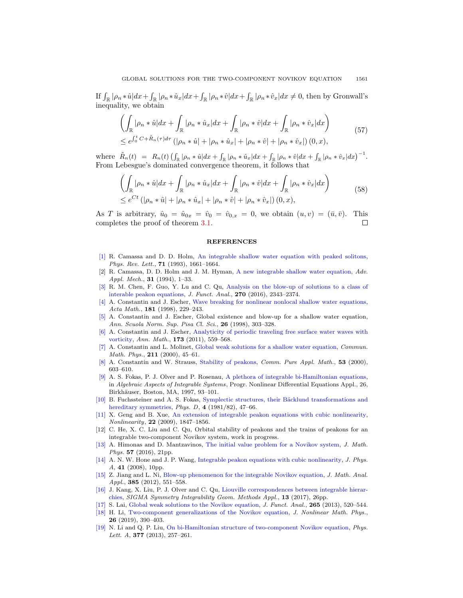If  $\int_{\mathbb{R}} |\rho_n * \hat{u}| dx + \int_{\mathbb{R}} |\rho_n * \hat{u}| dx + \int_{\mathbb{R}} |\rho_n * \hat{v}| dx + \int_{\mathbb{R}} |\rho_n * \hat{v}_x| dx \neq 0$ , then by Gronwall's inequality, we obtain

$$
\left(\int_{\mathbb{R}}|\rho_n*\hat{u}|dx+\int_{\mathbb{R}}|\rho_n*\hat{u}_x|dx+\int_{\mathbb{R}}|\rho_n*\hat{v}|dx+\int_{\mathbb{R}}|\rho_n*\hat{v}_x|dx\right)
$$
\n
$$
\leq e^{\int_0^t C+\tilde{R}_n(\tau)d\tau}\left(|\rho_n*\hat{u}|+|\rho_n*\hat{u}_x|+|\rho_n*\hat{v}|+|\rho_n*\hat{v}_x|\right)(0,x),\tag{57}
$$

where  $\tilde{R}_n(t) = R_n(t) \left( \int_{\mathbb{R}} |\rho_n * \hat{u}| dx + \int_{\mathbb{R}} |\rho_n * \hat{u}_x| dx + \int_{\mathbb{R}} |\rho_n * \hat{v}| dx + \int_{\mathbb{R}} |\rho_n * \hat{v}_x| dx \right)^{-1}$ . From Lebesgue's dominated convergence theorem, it follows that

$$
\left(\int_{\mathbb{R}} |\rho_n * \hat{u}| dx + \int_{\mathbb{R}} |\rho_n * \hat{u}_x| dx + \int_{\mathbb{R}} |\rho_n * \hat{v}| dx + \int_{\mathbb{R}} |\rho_n * \hat{v}_x| dx\right) \le e^{Ct} (|\rho_n * \hat{u}| + |\rho_n * \hat{u}_x| + |\rho_n * \hat{v}| + |\rho_n * \hat{v}_x|) (0, x),
$$
\n(58)

As T is arbitrary,  $\hat{u}_0 = \hat{u}_{0x} = \hat{v}_0 = \hat{v}_{0,x} = 0$ , we obtain  $(u, v) = (\bar{u}, \bar{v})$ . This completes the proof of theorem [3.1.](#page-5-2)  $\Box$ 

## REFERENCES

- <span id="page-16-1"></span>[\[1\]](http://www.ams.org/mathscinet-getitem?mr=MR1234453&return=pdf) R. Camassa and D. D. Holm, [An integrable shallow water equation with peaked solitons,](http://dx.doi.org/10.1103/PhysRevLett.71.1661) Phys. Rev. Lett., 71 (1993), 1661–1664.
- <span id="page-16-4"></span>[2] R. Camassa, D. D. Holm and J. M. Hyman, [A new integrable shallow water equation,](http://dx.doi.org/10.1016/S0065-2156(08)70254-0) Adv. Appl. Mech., 31 (1994), 1–33.
- <span id="page-16-11"></span>R. M. Chen, F. Guo, Y. Lu and C. Qu, [Analysis on the blow-up of solutions to a class of](http://dx.doi.org/10.1016/j.jfa.2016.01.017) [interable peakon equations,](http://dx.doi.org/10.1016/j.jfa.2016.01.017) J. Funct. Anal., 270 (2016), 2343–2374.
- <span id="page-16-5"></span>[\[4\]](http://www.ams.org/mathscinet-getitem?mr=MR1668586&return=pdf) A. Constantin and J. Escher, [Wave breaking for nonlinear nonlocal shallow water equations,](http://dx.doi.org/10.1007/BF02392586) Acta Math., **181** (1998), 229-243.
- <span id="page-16-6"></span>[\[5\]](http://www.ams.org/mathscinet-getitem?mr=MR1631589&return=pdf) A. Constantin and J. Escher, Global existence and blow-up for a shallow water equation, Ann. Scuola Norm. Sup. Pisa Cl. Sci., 26 (1998), 303–328.
- <span id="page-16-7"></span>[\[6\]](http://www.ams.org/mathscinet-getitem?mr=MR2753609&return=pdf) A. Constantin and J. Escher, [Analyticity of periodic traveling free surface water waves with](http://dx.doi.org/10.4007/annals.2011.173.1.12) [vorticity,](http://dx.doi.org/10.4007/annals.2011.173.1.12) Ann. Math., **173** (2011), 559-568.
- <span id="page-16-18"></span>[\[7\]](http://www.ams.org/mathscinet-getitem?mr=MR1757005&return=pdf) A. Constantin and L. Molinet, [Global weak solutions for a shallow water equation,](http://dx.doi.org/10.1007/s002200050801) Commun. Math. Phys.,  $211$  (2000), 45-61.
- <span id="page-16-8"></span>[\[8\]](http://www.ams.org/mathscinet-getitem?mr=MR1737505&return=pdf) A. Constantin and W. Strauss, [Stability of peakons,](http://dx.doi.org/10.1002/(SICI)1097-0312(200005)53:5<603::AID-CPA3>3.0.CO;2-L) Comm. Pure Appl. Math., 53 (2000), 603–610.
- <span id="page-16-3"></span>[\[9\]](http://www.ams.org/mathscinet-getitem?mr=MR1418871&return=pdf) A. S. Fokas, P. J. Olver and P. Rosenau, [A plethora of integrable bi-Hamiltonian equations,](http://dx.doi.org/10.1007/978-1-4612-2434-1_5) in Algebraic Aspects of Integrable Systems, Progr. Nonlinear Differential Equations Appl., 26, Birkhäuser, Boston, MA, 1997, 93-101.
- <span id="page-16-2"></span>[\[10\]](http://www.ams.org/mathscinet-getitem?mr=MR636470&return=pdf) B. Fuchssteiner and A. S. Fokas, Symplectic structures, their Bäcklund transformations and [hereditary symmetries,](http://dx.doi.org/10.1016/0167-2789(81)90004-X) *Phys. D*, 4 (1981/82), 47-66.
- <span id="page-16-14"></span>[\[11\]](http://www.ams.org/mathscinet-getitem?mr=MR2525813&return=pdf) X. Geng and B. Xue, [An extension of integrable peakon equations with cubic nonlinearity,](http://dx.doi.org/10.1088/0951-7715/22/8/004) Nonlinearity, 22 (2009), 1847–1856.
- <span id="page-16-17"></span>[12] C. He, X. C. Liu and C. Qu, Orbital stability of peakons and the trains of peakons for an integrable two-component Novikov system, work in progress.
- <span id="page-16-15"></span>[\[13\]](http://www.ams.org/mathscinet-getitem?mr=MR3529006&return=pdf) A. Himonas and D. Mantzavinos, [The initial value problem for a Novikov system,](http://dx.doi.org/10.1063/1.4959774) J. Math. Phys. **57** (2016), 21pp.
- <span id="page-16-9"></span>[\[14\]](http://www.ams.org/mathscinet-getitem?mr=MR2430566&return=pdf) A. N. W. Hone and J. P. Wang, [Integrable peakon equations with cubic nonlinearity,](http://dx.doi.org/10.1088/1751-8113/41/37/372002) J. Phys. A, 41 (2008), 10pp.
- <span id="page-16-12"></span>[\[15\]](http://www.ams.org/mathscinet-getitem?mr=MR2834279&return=pdf) Z. Jiang and L. Ni, [Blow-up phenomenon for the integrable Novikov equation,](http://dx.doi.org/10.1016/j.jmaa.2011.06.067) J. Math. Anal. Appl., 385 (2012), 551–558.
- <span id="page-16-10"></span>[\[16\]](http://www.ams.org/mathscinet-getitem?mr=MR3655938&return=pdf) J. Kang, X. Liu, P. J. Olver and C. Qu, [Liouville correspondences between integrable hierar](http://dx.doi.org/10.3842/SIGMA.2017.035)[chies,](http://dx.doi.org/10.3842/SIGMA.2017.035) SIGMA Symmetry Integrability Geom. Methods Appl., 13 (2017), 26pp.
- <span id="page-16-13"></span><span id="page-16-0"></span>[\[17\]](http://www.ams.org/mathscinet-getitem?mr=MR3062535&return=pdf) S. Lai, [Global weak solutions to the Novikov equation,](http://dx.doi.org/10.1016/j.jfa.2013.05.022) J. Funct. Anal., 265 (2013), 520–544. [\[18\]](http://www.ams.org/mathscinet-getitem?mr=MR3948391&return=pdf) H. Li, [Two-component generalizations of the Novikov equation,](http://dx.doi.org/10.1080/14029251.2019.1613048) J. Nonlinear Math. Phys., 26 (2019), 390–403.
- <span id="page-16-16"></span>[\[19\]](http://www.ams.org/mathscinet-getitem?mr=MR3006205&return=pdf) N. Li and Q. P. Liu, [On bi-Hamiltonian structure of two-component Novikov equation,](http://dx.doi.org/10.1016/j.physleta.2012.11.023) Phys. Lett. A, 377 (2013), 257-261.